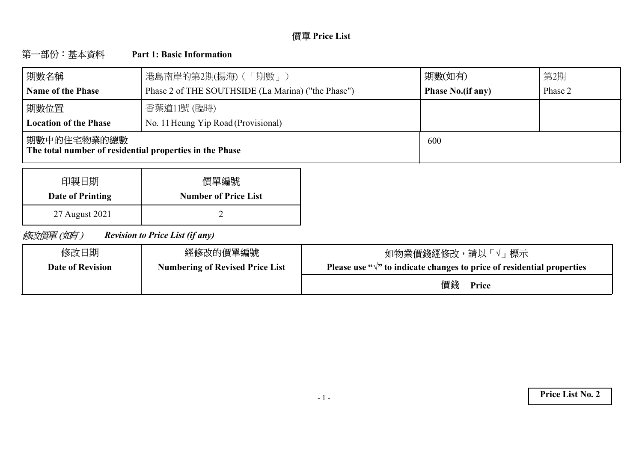# **Price List**

#### 第一部份:基本資料 **Part 1: Basic Information**

| 期數名稱                                                                    | 港島南岸的第2期(揚海) (「期數」)                                | 期數(如有)                   | 第2期     |
|-------------------------------------------------------------------------|----------------------------------------------------|--------------------------|---------|
| <b>Name of the Phase</b>                                                | Phase 2 of THE SOUTHSIDE (La Marina) ("the Phase") | <b>Phase No.(if any)</b> | Phase 2 |
| 期數位置                                                                    | 香葉道11號 (臨時)                                        |                          |         |
| <b>Location of the Phase</b>                                            | No. 11 Heung Yip Road (Provisional)                |                          |         |
| 期數中的住宅物業的總數 <br>The total number of residential properties in the Phase |                                                    | 600                      |         |

| 印製日期             | 價單編號                        |
|------------------|-----------------------------|
| Date of Printing | <b>Number of Price List</b> |
| 27 August 2021   |                             |

修改價單(如有) *Revision to Price List (if any)*

| 修改日期                    | 經修改的價單編號                               | 如物業價錢經修改,請以「√」標示                                                                 |
|-------------------------|----------------------------------------|----------------------------------------------------------------------------------|
| <b>Date of Revision</b> | <b>Numbering of Revised Price List</b> | Please use " $\sqrt{ }$ " to indicate changes to price of residential properties |
|                         |                                        | 價錢<br>Price                                                                      |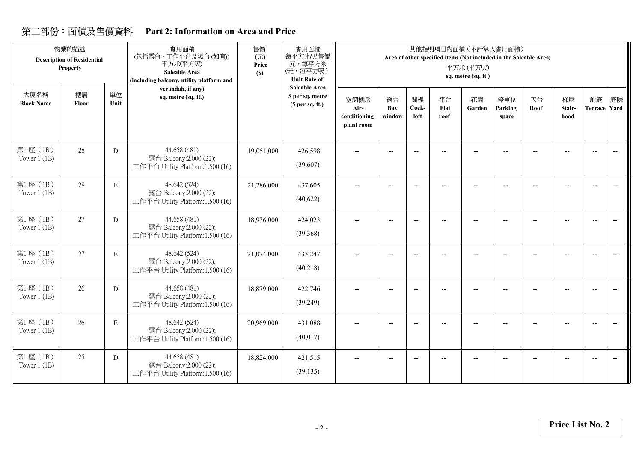## **Part 2: Information on Area and Price**

|                            | 物業的描述<br><b>Description of Residential</b><br>Property |            | 實用面積<br>(包括露台,工作平台及陽台(如有))<br>平方米(平方呎)<br><b>Saleable Area</b><br>(including balcony, utility platform and | 售價<br>(元)<br>Price<br>(S) | 實用面積<br>每平方米/呎售價<br>元,每平方米<br>(元,每平方呎)<br><b>Unit Rate of</b> |                                            |                          |                          | 其他指明項目的面積 (不計算入實用面積)<br>Area of other specified items (Not included in the Saleable Area) | 平方米(平方呎)<br>sq. metre (sq. ft.) |                          |            |                          |                                                     |                                                     |
|----------------------------|--------------------------------------------------------|------------|------------------------------------------------------------------------------------------------------------|---------------------------|---------------------------------------------------------------|--------------------------------------------|--------------------------|--------------------------|-------------------------------------------------------------------------------------------|---------------------------------|--------------------------|------------|--------------------------|-----------------------------------------------------|-----------------------------------------------------|
| 大廈名稱<br><b>Block Name</b>  | 樓層<br>Floor                                            | 單位<br>Unit | verandah, if any)<br>sq. metre (sq. ft.)                                                                   |                           | <b>Saleable Area</b><br>\$ per sq. metre<br>(\$ per sq. ft.)  | 空調機房<br>Air-<br>conditioning<br>plant room | 窗台<br>Bay<br>window      | 閣樓<br>Cock-<br>loft      | 平台<br>Flat<br>roof                                                                        | 花園<br>Garden                    | 停車位<br>Parking<br>space  | 天台<br>Roof | 梯屋<br>Stair-<br>hood     | 前庭<br><b>Terrace Yard</b>                           | 庭院                                                  |
| 第1座(1B)<br>Tower $1$ (1B)  | 28                                                     | D          | 44.658 (481)<br>露台 Balcony:2.000 (22);<br>工作平台 Utility Platform:1.500 (16)                                 | 19,051,000                | 426,598<br>(39,607)                                           | --                                         |                          |                          |                                                                                           |                                 |                          |            |                          | $\overline{\phantom{a}}$                            | $\hspace{0.05cm} -\hspace{0.05cm} -\hspace{0.05cm}$ |
| 第1座 (1B)<br>Tower $1$ (1B) | 28                                                     | E          | 48.642 (524)<br>露台 Balcony:2.000 (22);<br>工作平台 Utility Platform:1.500 (16)                                 | 21,286,000                | 437,605<br>(40,622)                                           | $\overline{\phantom{a}}$                   | $\overline{\phantom{a}}$ | $-\!$                    | $\overline{\phantom{a}}$                                                                  | $-$                             | $\overline{\phantom{a}}$ |            | $\overline{\phantom{a}}$ | $\hspace{0.05cm} -\hspace{0.05cm} -\hspace{0.05cm}$ | $\overline{\phantom{m}}$                            |
| 第1座 (1B)<br>Tower $1$ (1B) | 27                                                     | D          | 44.658 (481)<br>露台 Balcony:2.000 (22);<br>工作平台 Utility Platform:1.500 (16)                                 | 18,936,000                | 424,023<br>(39, 368)                                          | --                                         |                          |                          |                                                                                           |                                 | $\overline{\phantom{a}}$ |            |                          | $\overline{\phantom{a}}$                            | $\overline{\phantom{a}}$                            |
| 第1座(1B)<br>Tower $1$ (1B)  | 27                                                     | E          | 48.642 (524)<br>露台 Balcony:2.000 (22);<br>工作平台 Utility Platform:1.500 (16)                                 | 21,074,000                | 433,247<br>(40,218)                                           | $\overline{\phantom{m}}$                   | $\overline{\phantom{a}}$ | $\overline{\phantom{a}}$ | $\overline{a}$                                                                            | $-$                             | $\overline{\phantom{a}}$ |            |                          | $\hspace{0.05cm} -\hspace{0.05cm} -\hspace{0.05cm}$ | $\overline{\phantom{a}}$                            |
| 第1座(1B)<br>Tower $1$ (1B)  | 26                                                     | D          | 44.658 (481)<br>露台 Balcony:2.000 (22);<br>工作平台 Utility Platform:1.500 (16)                                 | 18,879,000                | 422,746<br>(39,249)                                           | --                                         | $\overline{\phantom{a}}$ | $\overline{\phantom{a}}$ |                                                                                           |                                 |                          |            |                          | $\overline{\phantom{a}}$                            | $\overline{\phantom{a}}$                            |
| 第1座(1B)<br>Tower $1$ (1B)  | 26                                                     | E          | 48.642 (524)<br>露台 Balcony:2.000 (22);<br>工作平台 Utility Platform:1.500 (16)                                 | 20,969,000                | 431,088<br>(40,017)                                           | --                                         | $\overline{a}$           | $-$                      |                                                                                           |                                 |                          |            |                          | $\overline{\phantom{a}}$                            | $\overline{\phantom{a}}$                            |
| 第1座(1B)<br>Tower $1$ (1B)  | 25                                                     | D          | 44.658 (481)<br>露台 Balcony:2.000 (22);<br>工作平台 Utility Platform:1.500 (16)                                 | 18,824,000                | 421,515<br>(39, 135)                                          | --                                         | $\overline{\phantom{a}}$ |                          |                                                                                           |                                 | Ξ.                       |            |                          | $\overline{\phantom{a}}$                            |                                                     |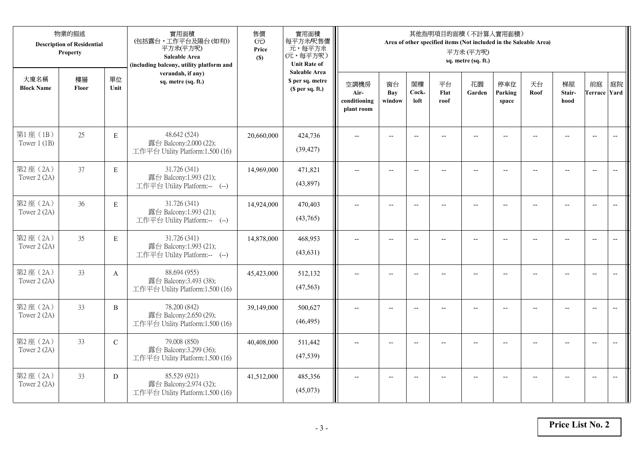|                           | 物業的描述<br><b>Description of Residential</b><br>Property |              | 實用面積<br>(包括露台,工作平台及陽台(如有))<br>平方米(平方呎)<br>Saleable Area<br>(including balcony, utility platform and | 售價<br>(元)<br>Price<br>(S) | 實用面積<br>每平方米/呎售價<br>元,每平方米<br>(元,每平方呎)<br><b>Unit Rate of</b>          |                                            |                          |                          |                          | 其他指明項目的面積 (不計算入實用面積)<br>Area of other specified items (Not included in the Saleable Area)<br>平方米(平方呎)<br>sq. metre (sq. ft.) |                          |                          |                                                     |                           |                          |
|---------------------------|--------------------------------------------------------|--------------|-----------------------------------------------------------------------------------------------------|---------------------------|------------------------------------------------------------------------|--------------------------------------------|--------------------------|--------------------------|--------------------------|------------------------------------------------------------------------------------------------------------------------------|--------------------------|--------------------------|-----------------------------------------------------|---------------------------|--------------------------|
| 大廈名稱<br><b>Block Name</b> | 樓層<br>Floor                                            | 單位<br>Unit   | verandah, if any)<br>sq. metre (sq. ft.)                                                            |                           | <b>Saleable Area</b><br>\$ per sq. metre<br>(S <sub>per</sub> sq. ft.) | 空調機房<br>Air-<br>conditioning<br>plant room | 窗台<br>Bay<br>window      | 閣樓<br>Cock-<br>loft      | 平台<br>Flat<br>roof       | 花園<br>Garden                                                                                                                 | 停車位<br>Parking<br>space  | 天台<br>Roof               | 梯屋<br>Stair-<br>hood                                | 前庭<br><b>Terrace Yard</b> | 庭院                       |
| 第1座(1B)<br>Tower $1$ (1B) | 25                                                     | $\mathbf E$  | 48.642 (524)<br>露台 Balcony:2.000 (22);<br>工作平台 Utility Platform:1.500 (16)                          | 20,660,000                | 424,736<br>(39, 427)                                                   |                                            | $\overline{a}$           | $\overline{\phantom{a}}$ |                          | $\sim$                                                                                                                       |                          |                          |                                                     | $\overline{a}$            | $\overline{\phantom{a}}$ |
| 第2座(2A)<br>Tower 2 (2A)   | 37                                                     | $\mathbf E$  | 31.726 (341)<br>露台 Balcony:1.993 (21);<br>工作平台 Utility Platform:-- (--)                             | 14,969,000                | 471,821<br>(43,897)                                                    | $\overline{\phantom{a}}$                   | $\overline{\phantom{a}}$ | $\overline{\phantom{a}}$ | $-$                      | $\overline{\phantom{a}}$                                                                                                     | $-$                      | $\overline{\phantom{a}}$ | $\overline{a}$                                      | $-$                       | $\overline{\phantom{m}}$ |
| 第2座(2A)<br>Tower 2 (2A)   | 36                                                     | $\mathbf E$  | 31.726 (341)<br>露台 Balcony:1.993 (21);<br>工作平台 Utility Platform:-- (--)                             | 14,924,000                | 470,403<br>(43,765)                                                    |                                            | $\overline{\phantom{a}}$ | $\overline{\phantom{a}}$ | $-$                      | $-$                                                                                                                          | --                       |                          | $\overline{\phantom{a}}$                            | $\overline{\phantom{a}}$  |                          |
| 第2座(2A)<br>Tower 2 (2A)   | 35                                                     | $\mathbf E$  | 31.726 (341)<br>露台 Balcony:1.993 (21);<br>工作平台 Utility Platform:-- (--)                             | 14,878,000                | 468,953<br>(43, 631)                                                   | $-$                                        | $\overline{\phantom{m}}$ | $\overline{\phantom{a}}$ | $\overline{\phantom{a}}$ | $-$                                                                                                                          | $\overline{\phantom{a}}$ | $\overline{a}$           | $\hspace{0.05cm} -\hspace{0.05cm} -\hspace{0.05cm}$ | $-$                       | $\overline{\phantom{m}}$ |
| 第2座(2A)<br>Tower 2 (2A)   | 33                                                     | $\mathbf{A}$ | 88.694 (955)<br>露台 Balcony:3.493 (38);<br>工作平台 Utility Platform:1.500 (16)                          | 45,423,000                | 512,132<br>(47, 563)                                                   | $\sim$                                     | $\overline{a}$           | $\overline{a}$           | $\overline{a}$           | $\overline{\phantom{a}}$                                                                                                     | $\overline{a}$           |                          | $\overline{a}$                                      | $\overline{\phantom{a}}$  | $\overline{\phantom{a}}$ |
| 第2座(2A)<br>Tower 2 (2A)   | 33                                                     | $\, {\bf B}$ | 78.200 (842)<br>露台 Balcony:2.650 (29);<br>工作平台 Utility Platform:1.500 (16)                          | 39,149,000                | 500,627<br>(46, 495)                                                   | $\overline{\phantom{a}}$                   | $\overline{a}$           | $\overline{\phantom{a}}$ |                          | $\overline{a}$                                                                                                               | $\sim$                   | $-$                      | $\overline{a}$                                      | $\overline{\phantom{a}}$  | $\sim$                   |
| 第2座 (2A)<br>Tower 2 (2A)  | 33                                                     | $\mathbf C$  | 79.008 (850)<br>露台 Balcony:3.299 (36);<br>工作平台 Utility Platform:1.500 (16)                          | 40,408,000                | 511,442<br>(47, 539)                                                   |                                            |                          | $\overline{\phantom{a}}$ |                          |                                                                                                                              |                          |                          |                                                     | $\overline{\phantom{a}}$  | $\overline{a}$           |
| 第2座(2A)<br>Tower 2 (2A)   | 33                                                     | D            | 85.529 (921)<br>露台 Balcony:2.974 (32);<br>工作平台 Utility Platform:1.500 (16)                          | 41,512,000                | 485,356<br>(45,073)                                                    | $\overline{\phantom{a}}$                   | $-$                      | $\overline{\phantom{a}}$ | $\overline{a}$           | $\overline{\phantom{a}}$                                                                                                     | $-$                      |                          | $\overline{a}$                                      | $-$                       | $\overline{\phantom{a}}$ |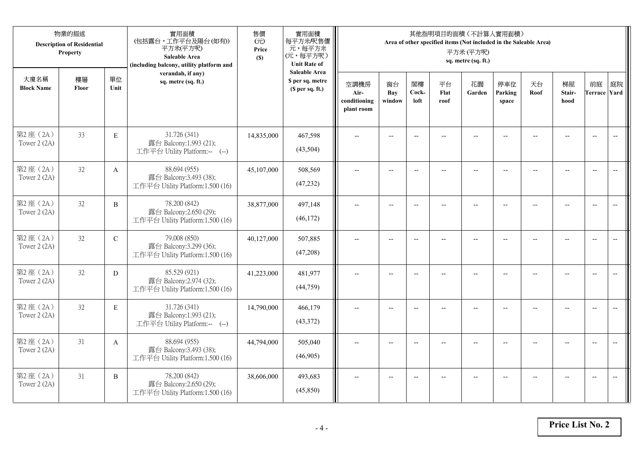|                           | 物業的描述<br><b>Description of Residential</b><br>Property |                | 實用面積<br>(包括露台,工作平台及陽台(如有))<br>平方米(平方呎)<br>Saleable Area<br>(including balcony, utility platform and | 售價<br>(元)<br>Price<br>(S) | 實用面積<br>每平方米/呎售價<br>元,每平方米<br>(元,每平方呎)<br><b>Unit Rate of</b> |                                            |                          |                          | 其他指明項目的面積 (不計算入實用面積)<br>Area of other specified items (Not included in the Saleable Area) | 平方米(平方呎)<br>sq. metre (sq. ft.) |                          |            |                      |                           |                          |
|---------------------------|--------------------------------------------------------|----------------|-----------------------------------------------------------------------------------------------------|---------------------------|---------------------------------------------------------------|--------------------------------------------|--------------------------|--------------------------|-------------------------------------------------------------------------------------------|---------------------------------|--------------------------|------------|----------------------|---------------------------|--------------------------|
| 大廈名稱<br><b>Block Name</b> | 樓層<br>Floor                                            | 單位<br>Unit     | verandah, if any)<br>sq. metre (sq. ft.)                                                            |                           | <b>Saleable Area</b><br>\$ per sq. metre<br>(\$ per sq. ft.)  | 空調機房<br>Air-<br>conditioning<br>plant room | 窗台<br>Bay<br>window      | 閣樓<br>Cock-<br>loft      | 平台<br>Flat<br>roof                                                                        | 花園<br>Garden                    | 停車位<br>Parking<br>space  | 天台<br>Roof | 梯屋<br>Stair-<br>hood | 前庭<br><b>Terrace Yard</b> | 庭院                       |
| 第2座(2A)<br>Tower $2(2A)$  | 33                                                     | $\mathbf E$    | 31.726 (341)<br>露台 Balcony:1.993 (21);<br>工作平台 Utility Platform:-- (--)                             | 14,835,000                | 467,598<br>(43,504)                                           |                                            |                          | $-$                      |                                                                                           |                                 |                          |            |                      | $\overline{\phantom{a}}$  | $\overline{\phantom{a}}$ |
| 第2座(2A)<br>Tower 2 (2A)   | 32                                                     | $\mathbf{A}$   | 88.694 (955)<br>露台 Balcony:3.493 (38);<br>工作平台 Utility Platform:1.500 (16)                          | 45,107,000                | 508,569<br>(47, 232)                                          | $\overline{a}$                             | $\overline{\phantom{a}}$ | $\overline{\phantom{a}}$ | $-$                                                                                       | $\overline{\phantom{a}}$        | $-$                      | $-$        | $-$                  | $\overline{a}$            | $-$                      |
| 第2座(2A)<br>Tower 2 (2A)   | 32                                                     | $\overline{B}$ | 78.200 (842)<br>露台 Balcony:2.650 (29);<br>工作平台 Utility Platform:1.500 (16)                          | 38,877,000                | 497,148<br>(46, 172)                                          |                                            | $\overline{a}$           | $\overline{\phantom{a}}$ | $\overline{a}$                                                                            | $\overline{a}$                  |                          |            | $\overline{a}$       | $\overline{a}$            |                          |
| 第2座(2A)<br>Tower $2(2A)$  | 32                                                     | $\mathbf C$    | 79.008 (850)<br>露台 Balcony:3.299 (36);<br>工作平台 Utility Platform:1.500 (16)                          | 40,127,000                | 507,885<br>(47,208)                                           | $\overline{a}$                             | $-$                      | $-$                      | $\overline{a}$                                                                            | $\overline{\phantom{a}}$        | $\overline{\phantom{a}}$ |            | $\overline{a}$       | $\overline{\phantom{a}}$  | $\overline{\phantom{m}}$ |
| 第2座(2A)<br>Tower 2 (2A)   | 32                                                     | D              | 85.529 (921)<br>露台 Balcony:2.974 (32);<br>工作平台 Utility Platform:1.500 (16)                          | 41,223,000                | 481,977<br>(44, 759)                                          | $\overline{a}$                             | $\overline{\phantom{a}}$ | $\overline{\phantom{a}}$ | $\qquad \qquad -$                                                                         | $\overline{\phantom{m}}$        | $-$                      | --         | $-$                  | $\overline{\phantom{m}}$  | $\overline{\phantom{m}}$ |
| 第2座 (2A)<br>Tower 2 (2A)  | 32                                                     | $\mathbf E$    | 31.726 (341)<br>露台 Balcony:1.993 (21);<br>工作平台 Utility Platform:-- (--)                             | 14,790,000                | 466,179<br>(43,372)                                           |                                            | $-$                      | $-$                      |                                                                                           |                                 |                          |            | $-$                  | $\overline{a}$            | $-$                      |
| 第2座(2A)<br>Tower 2 (2A)   | 31                                                     | $\mathbf{A}$   | 88.694 (955)<br>露台 Balcony:3.493 (38);<br>工作平台 Utility Platform:1.500 (16)                          | 44,794,000                | 505,040<br>(46,905)                                           | $\sim$                                     | $-$                      | $\overline{\phantom{a}}$ |                                                                                           | $\sim$                          |                          |            | $\overline{a}$       | $-$                       | $\overline{a}$           |
| 第2座(2A)<br>Tower 2 (2A)   | 31                                                     | B              | 78.200 (842)<br>露台 Balcony:2.650 (29);<br>工作平台 Utility Platform:1.500 (16)                          | 38,606,000                | 493,683<br>(45,850)                                           |                                            | $-$                      |                          |                                                                                           | --                              |                          |            |                      | $\overline{\phantom{a}}$  | $-$                      |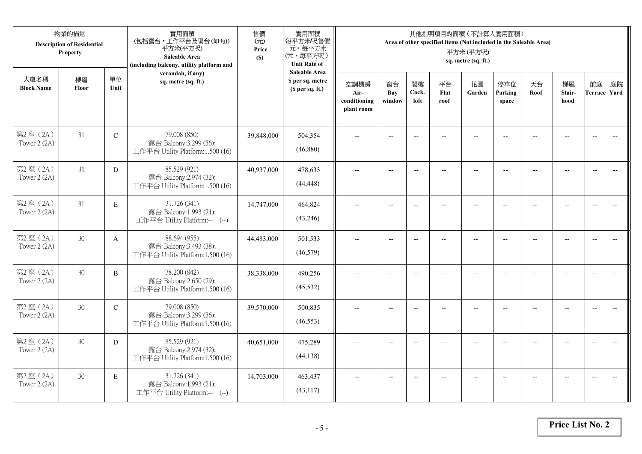|                           | 物業的描述<br><b>Description of Residential</b><br>Property |               | 實用面積<br>(包括露台,工作平台及陽台(如有))<br>平方米(平方呎)<br>Saleable Area<br>(including balcony, utility platform and | 售價<br>(元)<br>Price<br>(S) | 實用面積<br>每平方米/呎售價<br>元,每平方米<br>(元,每平方呎)<br><b>Unit Rate of</b>          |                                            |                          |                          |                          | 其他指明項目的面積 (不計算入實用面積)<br>Area of other specified items (Not included in the Saleable Area)<br>平方米(平方呎)<br>sq. metre (sq. ft.) |                          |                |                          |                           |                          |
|---------------------------|--------------------------------------------------------|---------------|-----------------------------------------------------------------------------------------------------|---------------------------|------------------------------------------------------------------------|--------------------------------------------|--------------------------|--------------------------|--------------------------|------------------------------------------------------------------------------------------------------------------------------|--------------------------|----------------|--------------------------|---------------------------|--------------------------|
| 大廈名稱<br><b>Block Name</b> | 樓層<br>Floor                                            | 單位<br>Unit    | verandah, if any)<br>sq. metre (sq. ft.)                                                            |                           | <b>Saleable Area</b><br>\$ per sq. metre<br>(S <sub>per</sub> sq. ft.) | 空調機房<br>Air-<br>conditioning<br>plant room | 窗台<br>Bay<br>window      | 閣樓<br>Cock-<br>loft      | 平台<br>Flat<br>roof       | 花園<br>Garden                                                                                                                 | 停車位<br>Parking<br>space  | 天台<br>Roof     | 梯屋<br>Stair-<br>hood     | 前庭<br><b>Terrace Yard</b> | 庭院                       |
| 第2座(2A)<br>Tower 2 (2A)   | 31                                                     | $\mathbf C$   | 79.008 (850)<br>露台 Balcony:3.299 (36);<br>工作平台 Utility Platform:1.500 (16)                          | 39,848,000                | 504,354<br>(46,880)                                                    |                                            | $-$                      | $\overline{a}$           |                          |                                                                                                                              |                          |                |                          | $\overline{a}$            | $\overline{\phantom{a}}$ |
| 第2座(2A)<br>Tower 2 (2A)   | 31                                                     | D             | 85.529 (921)<br>露台 Balcony:2.974 (32);<br>工作平台 Utility Platform:1.500 (16)                          | 40,937,000                | 478,633<br>(44, 448)                                                   | $\overline{\phantom{a}}$                   | $\overline{\phantom{a}}$ | $\overline{a}$           | $\overline{a}$           | $\overline{\phantom{a}}$                                                                                                     | $-$                      |                | $\overline{a}$           | $-$                       |                          |
| 第2座(2A)<br>Tower 2 (2A)   | 31                                                     | $\mathbf E$   | 31.726 (341)<br>露台 Balcony:1.993 (21);<br>工作平台 Utility Platform:-- (--)                             | 14,747,000                | 464,824<br>(43,246)                                                    |                                            | $\overline{\phantom{a}}$ | $-$                      | $-$                      | $-$                                                                                                                          |                          |                | $\overline{\phantom{a}}$ | $\overline{\phantom{a}}$  |                          |
| 第2座(2A)<br>Tower 2 (2A)   | 30                                                     | $\mathbf{A}$  | 88.694 (955)<br>露台 Balcony:3.493 (38);<br>工作平台 Utility Platform:1.500 (16)                          | 44,483,000                | 501,533<br>(46, 579)                                                   | $-$                                        | $\overline{\phantom{m}}$ | $\overline{\phantom{a}}$ | $\overline{\phantom{a}}$ | $-$                                                                                                                          | $\overline{\phantom{a}}$ | $\overline{a}$ | --                       | $-$                       | $\overline{\phantom{m}}$ |
| 第2座(2A)<br>Tower 2 (2A)   | 30                                                     | $\, {\bf B}$  | 78.200 (842)<br>露台 Balcony:2.650 (29);<br>工作平台 Utility Platform:1.500 (16)                          | 38,338,000                | 490,256<br>(45, 532)                                                   | $\sim$                                     | $\overline{a}$           | $\overline{a}$           | $\overline{a}$           | $-$                                                                                                                          | $\overline{a}$           |                | $\overline{a}$           | $\overline{\phantom{a}}$  | $\overline{\phantom{a}}$ |
| 第2座(2A)<br>Tower 2 (2A)   | 30                                                     | $\mathcal{C}$ | 79.008 (850)<br>露台 Balcony:3.299 (36);<br>工作平台 Utility Platform:1.500 (16)                          | 39,570,000                | 500,835<br>(46, 553)                                                   | $\overline{\phantom{a}}$                   | $\overline{a}$           | $-$                      |                          | $\overline{a}$                                                                                                               | $\sim$                   | $-$            | $\overline{a}$           | $\overline{\phantom{a}}$  | $\sim$                   |
| 第2座 (2A)<br>Tower 2 (2A)  | 30                                                     | D             | 85.529 (921)<br>露台 Balcony:2.974 (32);<br>工作平台 Utility Platform:1.500 (16)                          | 40,651,000                | 475,289<br>(44, 138)                                                   |                                            |                          | $\overline{\phantom{a}}$ |                          |                                                                                                                              |                          |                |                          | $\overline{\phantom{a}}$  | $\overline{\phantom{a}}$ |
| 第2座(2A)<br>Tower 2 (2A)   | 30                                                     | $\mathbf E$   | 31.726 (341)<br>露台 Balcony:1.993 (21);<br>工作平台 Utility Platform:-- (--)                             | 14,703,000                | 463,437<br>(43,117)                                                    | $\overline{\phantom{a}}$                   | $-$                      | $-$                      |                          | $\overline{a}$                                                                                                               | $-$                      |                | $-$                      | $-$                       | $\overline{\phantom{a}}$ |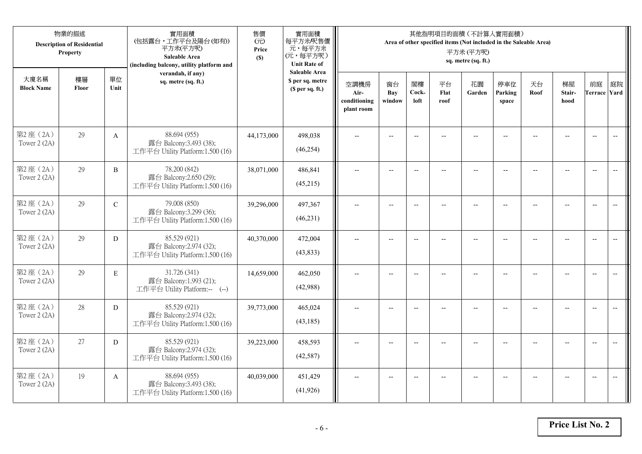|                           | 物業的描述<br><b>Description of Residential</b><br>Property |                | 實用面積<br>(包括露台,工作平台及陽台(如有))<br>平方米(平方呎)<br>Saleable Area<br>(including balcony, utility platform and | 售價<br>(元)<br>Price<br>(S) | 實用面積<br>每平方米/呎售價<br>元,每平方米<br>(元,每平方呎)<br><b>Unit Rate of</b> |                                            |                          |                          | 其他指明項目的面積 (不計算入實用面積)<br>Area of other specified items (Not included in the Saleable Area) | 平方米(平方呎)<br>sq. metre (sq. ft.) |                         |            |                      |                           |                          |
|---------------------------|--------------------------------------------------------|----------------|-----------------------------------------------------------------------------------------------------|---------------------------|---------------------------------------------------------------|--------------------------------------------|--------------------------|--------------------------|-------------------------------------------------------------------------------------------|---------------------------------|-------------------------|------------|----------------------|---------------------------|--------------------------|
| 大廈名稱<br><b>Block Name</b> | 樓層<br>Floor                                            | 單位<br>Unit     | verandah, if any)<br>sq. metre (sq. ft.)                                                            |                           | <b>Saleable Area</b><br>\$ per sq. metre<br>(\$ per sq. ft.)  | 空調機房<br>Air-<br>conditioning<br>plant room | 窗台<br>Bay<br>window      | 閣樓<br>Cock-<br>loft      | 平台<br>Flat<br>roof                                                                        | 花園<br>Garden                    | 停車位<br>Parking<br>space | 天台<br>Roof | 梯屋<br>Stair-<br>hood | 前庭<br><b>Terrace Yard</b> | 庭院                       |
| 第2座(2A)<br>Tower $2(2A)$  | 29                                                     | $\mathbf{A}$   | 88.694 (955)<br>露台 Balcony:3.493 (38);<br>工作平台 Utility Platform:1.500 (16)                          | 44,173,000                | 498,038<br>(46, 254)                                          |                                            |                          | $-$                      |                                                                                           |                                 |                         |            |                      | $\overline{\phantom{a}}$  | $\overline{\phantom{a}}$ |
| 第2座(2A)<br>Tower 2 (2A)   | 29                                                     | $\overline{B}$ | 78.200 (842)<br>露台 Balcony:2.650 (29);<br>工作平台 Utility Platform:1.500 (16)                          | 38,071,000                | 486,841<br>(45,215)                                           | $\overline{a}$                             | $\overline{\phantom{a}}$ | $\overline{\phantom{a}}$ | $-$                                                                                       | $\overline{\phantom{a}}$        | $-$                     | $-$        | $\overline{a}$       | $\overline{a}$            | $-$                      |
| 第2座(2A)<br>Tower 2 (2A)   | 29                                                     | $\mathbf C$    | 79.008 (850)<br>露台 Balcony:3.299 (36);<br>工作平台 Utility Platform:1.500 (16)                          | 39,296,000                | 497,367<br>(46, 231)                                          |                                            | $\overline{a}$           | $-$                      |                                                                                           | $\overline{a}$                  |                         |            |                      | $\overline{a}$            |                          |
| 第2座(2A)<br>Tower $2(2A)$  | 29                                                     | D              | 85.529 (921)<br>露台 Balcony:2.974 (32);<br>工作平台 Utility Platform:1.500 (16)                          | 40,370,000                | 472,004<br>(43, 833)                                          | $\overline{\phantom{a}}$                   | $-$                      | $-$                      | $\overline{a}$                                                                            | $\overline{\phantom{a}}$        | $\overline{a}$          |            | $\overline{a}$       | $\overline{\phantom{a}}$  | $\overline{\phantom{m}}$ |
| 第2座(2A)<br>Tower 2 (2A)   | 29                                                     | $\mathbf E$    | 31.726 (341)<br>露台 Balcony:1.993 (21);<br>工作平台 Utility Platform:-- (--)                             | 14,659,000                | 462,050<br>(42,988)                                           | $\overline{a}$                             | $- -$                    | $\overline{\phantom{a}}$ | $\qquad \qquad -$                                                                         | $-$                             | $-$                     | --         | $-$                  | $\overline{\phantom{m}}$  | $\overline{\phantom{m}}$ |
| 第2座 (2A)<br>Tower 2 (2A)  | 28                                                     | D              | 85.529 (921)<br>露台 Balcony:2.974 (32);<br>工作平台 Utility Platform:1.500 (16)                          | 39,773,000                | 465,024<br>(43, 185)                                          |                                            | $-$                      | $-$                      |                                                                                           |                                 |                         |            | $-$                  | $\overline{\phantom{a}}$  | $-$                      |
| 第2座(2A)<br>Tower 2 (2A)   | 27                                                     | D              | 85.529 (921)<br>露台 Balcony:2.974 (32);<br>工作平台 Utility Platform:1.500 (16)                          | 39,223,000                | 458,593<br>(42,587)                                           | $\sim$                                     | $-$                      | $-$                      |                                                                                           | $\sim$                          |                         |            | $\overline{a}$       | $-$                       | $\overline{a}$           |
| 第2座(2A)<br>Tower 2 (2A)   | 19                                                     | $\mathbf{A}$   | 88.694 (955)<br>露台 Balcony:3.493 (38);<br>工作平台 Utility Platform:1.500 (16)                          | 40,039,000                | 451,429<br>(41, 926)                                          |                                            | $-$                      |                          |                                                                                           | --                              |                         |            |                      | $\overline{a}$            | $-$                      |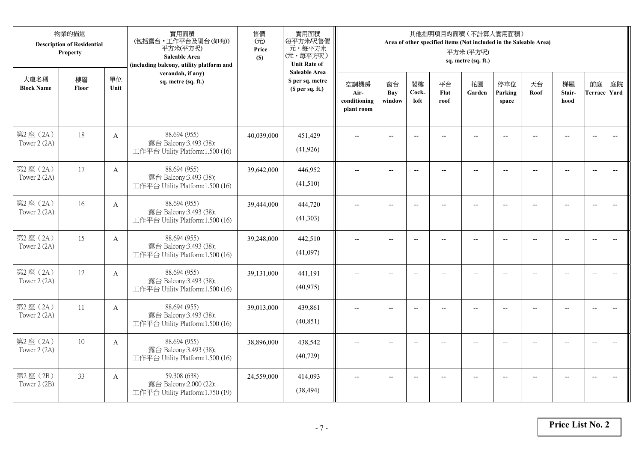|                           | 物業的描述<br><b>Description of Residential</b><br>Property |              | 實用面積<br>(包括露台,工作平台及陽台(如有))<br>平方米(平方呎)<br>Saleable Area<br>(including balcony, utility platform and | 售價<br>(元)<br>Price<br>(S) | 實用面積<br>每平方米/呎售價<br>元,每平方米<br>(元,每平方呎)<br><b>Unit Rate of</b>          |                                            |                          |                          |                          | 其他指明項目的面積 (不計算入實用面積)<br>Area of other specified items (Not included in the Saleable Area)<br>平方米(平方呎)<br>sq. metre (sq. ft.) |                          |                |                          |                           |                          |
|---------------------------|--------------------------------------------------------|--------------|-----------------------------------------------------------------------------------------------------|---------------------------|------------------------------------------------------------------------|--------------------------------------------|--------------------------|--------------------------|--------------------------|------------------------------------------------------------------------------------------------------------------------------|--------------------------|----------------|--------------------------|---------------------------|--------------------------|
| 大廈名稱<br><b>Block Name</b> | 樓層<br>Floor                                            | 單位<br>Unit   | verandah, if any)<br>sq. metre (sq. ft.)                                                            |                           | <b>Saleable Area</b><br>\$ per sq. metre<br>(S <sub>per</sub> sq. ft.) | 空調機房<br>Air-<br>conditioning<br>plant room | 窗台<br>Bay<br>window      | 閣樓<br>Cock-<br>loft      | 平台<br>Flat<br>roof       | 花園<br>Garden                                                                                                                 | 停車位<br>Parking<br>space  | 天台<br>Roof     | 梯屋<br>Stair-<br>hood     | 前庭<br><b>Terrace Yard</b> | 庭院                       |
| 第2座(2A)<br>Tower 2 (2A)   | 18                                                     | $\mathbf{A}$ | 88.694 (955)<br>露台 Balcony:3.493 (38);<br>工作平台 Utility Platform:1.500 (16)                          | 40,039,000                | 451,429<br>(41, 926)                                                   |                                            |                          | $\overline{a}$           |                          |                                                                                                                              |                          |                |                          | $\overline{a}$            | $\overline{\phantom{a}}$ |
| 第2座(2A)<br>Tower 2 (2A)   | 17                                                     | $\mathbf{A}$ | 88.694 (955)<br>露台 Balcony:3.493 (38);<br>工作平台 Utility Platform:1.500 (16)                          | 39,642,000                | 446,952<br>(41,510)                                                    | $\overline{\phantom{a}}$                   | $\overline{\phantom{a}}$ | $\overline{\phantom{a}}$ | $\overline{a}$           | $\overline{\phantom{a}}$                                                                                                     | $-$                      |                | $\overline{a}$           | $-$                       | $\overline{\phantom{m}}$ |
| 第2座(2A)<br>Tower 2 (2A)   | 16                                                     | A            | 88.694 (955)<br>露台 Balcony:3.493 (38);<br>工作平台 Utility Platform:1.500 (16)                          | 39,444,000                | 444,720<br>(41,303)                                                    |                                            | $\overline{\phantom{a}}$ | $-$                      | $-$                      | $-$                                                                                                                          |                          |                | $\overline{\phantom{a}}$ | $\overline{\phantom{a}}$  |                          |
| 第2座(2A)<br>Tower 2 (2A)   | 15                                                     | $\mathbf{A}$ | 88.694 (955)<br>露台 Balcony:3.493 (38);<br>工作平台 Utility Platform:1.500 (16)                          | 39,248,000                | 442,510<br>(41,097)                                                    | $-$                                        | $\overline{\phantom{m}}$ | $\overline{\phantom{a}}$ | $\overline{\phantom{a}}$ | $-$                                                                                                                          | $\overline{\phantom{a}}$ | $\overline{a}$ | --                       | $-$                       | $\overline{\phantom{m}}$ |
| 第2座(2A)<br>Tower 2 (2A)   | 12                                                     | $\mathbf{A}$ | 88.694 (955)<br>露台 Balcony:3.493 (38);<br>工作平台 Utility Platform:1.500 (16)                          | 39,131,000                | 441,191<br>(40, 975)                                                   | $\sim$                                     | $\overline{a}$           | $\overline{a}$           | $\overline{a}$           | $-$                                                                                                                          | $\overline{a}$           |                | $\overline{a}$           | $\overline{\phantom{a}}$  | $\overline{\phantom{a}}$ |
| 第2座(2A)<br>Tower 2 (2A)   | 11                                                     | A            | 88.694 (955)<br>露台 Balcony:3.493 (38);<br>工作平台 Utility Platform:1.500 (16)                          | 39,013,000                | 439,861<br>(40, 851)                                                   | $\overline{\phantom{a}}$                   | $\overline{a}$           | $-$                      |                          | $\overline{a}$                                                                                                               | $-$                      | $-$            | $\overline{a}$           | $\overline{\phantom{a}}$  | $\sim$                   |
| 第2座 (2A)<br>Tower 2 (2A)  | 10                                                     | $\mathbf{A}$ | 88.694 (955)<br>露台 Balcony:3.493 (38);<br>工作平台 Utility Platform:1.500 (16)                          | 38,896,000                | 438,542<br>(40, 729)                                                   |                                            |                          | $\overline{\phantom{a}}$ |                          |                                                                                                                              |                          |                |                          | $\overline{\phantom{a}}$  | $\overline{a}$           |
| 第2座(2B)<br>Tower 2 (2B)   | 33                                                     | A            | 59.308 (638)<br>露台 Balcony:2.000 (22);<br>工作平台 Utility Platform:1.750 (19)                          | 24,559,000                | 414,093<br>(38, 494)                                                   | $\overline{\phantom{a}}$                   | $-$                      | $-$                      |                          | $\overline{a}$                                                                                                               | $-$                      |                | $-$                      | $-$                       | $\overline{\phantom{a}}$ |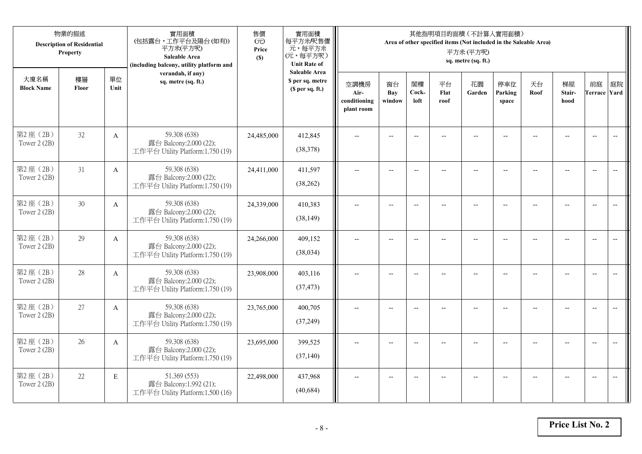|                           | 物業的描述<br><b>Description of Residential</b><br>Property |              | 實用面積<br>(包括露台,工作平台及陽台(如有))<br>平方米(平方呎)<br>Saleable Area<br>(including balcony, utility platform and | 售價<br>(元)<br>Price<br>(S) | 實用面積<br>每平方米/呎售價<br>元,每平方米<br>(元,每平方呎)<br><b>Unit Rate of</b> |                                            |                          |                          |                    | 其他指明項目的面積 (不計算入實用面積)<br>Area of other specified items (Not included in the Saleable Area)<br>平方米(平方呎)<br>sq. metre (sq. ft.) |                          |            |                      |                           |                          |
|---------------------------|--------------------------------------------------------|--------------|-----------------------------------------------------------------------------------------------------|---------------------------|---------------------------------------------------------------|--------------------------------------------|--------------------------|--------------------------|--------------------|------------------------------------------------------------------------------------------------------------------------------|--------------------------|------------|----------------------|---------------------------|--------------------------|
| 大廈名稱<br><b>Block Name</b> | 樓層<br>Floor                                            | 單位<br>Unit   | verandah, if any)<br>sq. metre (sq. ft.)                                                            |                           | <b>Saleable Area</b><br>\$ per sq. metre<br>(\$ per sq. ft.)  | 空調機房<br>Air-<br>conditioning<br>plant room | 窗台<br>Bay<br>window      | 閣樓<br>Cock-<br>loft      | 平台<br>Flat<br>roof | 花園<br>Garden                                                                                                                 | 停車位<br>Parking<br>space  | 天台<br>Roof | 梯屋<br>Stair-<br>hood | 前庭<br><b>Terrace Yard</b> | 庭院                       |
| 第2座(2B)<br>Tower 2 (2B)   | 32                                                     | $\mathbf{A}$ | 59.308 (638)<br>露台 Balcony:2.000 (22);<br>工作平台 Utility Platform:1.750 (19)                          | 24,485,000                | 412,845<br>(38,378)                                           |                                            |                          | $-$                      |                    |                                                                                                                              |                          |            |                      | $\overline{\phantom{a}}$  | $\overline{\phantom{a}}$ |
| 第2座(2B)<br>Tower 2 (2B)   | 31                                                     | $\mathbf{A}$ | 59.308 (638)<br>露台 Balcony:2.000 (22);<br>工作平台 Utility Platform:1.750 (19)                          | 24,411,000                | 411,597<br>(38, 262)                                          | $\overline{a}$                             | $\overline{\phantom{a}}$ | $\overline{\phantom{a}}$ | $-$                | $\overline{\phantom{a}}$                                                                                                     | $-$                      | $-$        | $\overline{a}$       | $\overline{a}$            | $-$                      |
| 第2座(2B)<br>Tower 2 (2B)   | 30                                                     | A            | 59.308 (638)<br>露台 Balcony:2.000 (22);<br>工作平台 Utility Platform:1.750 (19)                          | 24,339,000                | 410,383<br>(38, 149)                                          |                                            | $\overline{a}$           | $\overline{\phantom{a}}$ |                    | $\overline{a}$                                                                                                               |                          |            | $\overline{a}$       | $\overline{a}$            |                          |
| 第2座(2B)<br>Tower 2 (2B)   | 29                                                     | $\mathbf{A}$ | 59.308 (638)<br>露台 Balcony:2.000 (22);<br>工作平台 Utility Platform:1.750 (19)                          | 24,266,000                | 409,152<br>(38,034)                                           | $\overline{\phantom{a}}$                   | $-$                      | $-$                      | $\overline{a}$     | $\overline{\phantom{a}}$                                                                                                     | $\overline{\phantom{a}}$ |            | $\overline{a}$       | $\overline{a}$            | $\overline{\phantom{m}}$ |
| 第2座(2B)<br>Tower 2 (2B)   | 28                                                     | $\mathbf{A}$ | 59.308 (638)<br>露台 Balcony:2.000 (22);<br>工作平台 Utility Platform:1.750 (19)                          | 23,908,000                | 403,116<br>(37, 473)                                          | $\overline{a}$                             | $- -$                    | $\overline{\phantom{a}}$ | $\qquad \qquad -$  | $-$                                                                                                                          | $-$                      | --         | $-$                  | $\overline{\phantom{m}}$  | $\overline{\phantom{m}}$ |
| 第2座(2B)<br>Tower 2 (2B)   | 27                                                     | A            | 59.308 (638)<br>露台 Balcony:2.000 (22);<br>工作平台 Utility Platform:1.750 (19)                          | 23,765,000                | 400,705<br>(37,249)                                           |                                            | $-$                      | $-$                      |                    |                                                                                                                              |                          |            | $-$                  | $\overline{a}$            | $-$                      |
| 第2座(2B)<br>Tower 2 (2B)   | 26                                                     | $\mathbf{A}$ | 59.308 (638)<br>露台 Balcony:2.000 (22);<br>工作平台 Utility Platform:1.750 (19)                          | 23,695,000                | 399,525<br>(37, 140)                                          | $\sim$                                     | $-$                      | $\overline{\phantom{a}}$ |                    | $\sim$                                                                                                                       |                          |            | $\overline{a}$       | $-$                       | $\overline{a}$           |
| 第2座(2B)<br>Tower 2 (2B)   | 22                                                     | E            | 51.369 (553)<br>露台 Balcony:1.992 (21);<br>工作平台 Utility Platform:1.500 (16)                          | 22,498,000                | 437,968<br>(40, 684)                                          |                                            | $-$                      |                          |                    | --                                                                                                                           |                          |            |                      | $\overline{\phantom{a}}$  | $-$                      |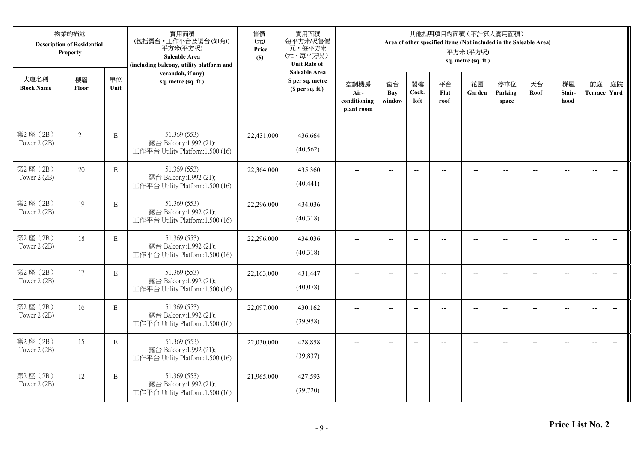|                           | 物業的描述<br><b>Description of Residential</b><br>Property |             | 實用面積<br>(包括露台,工作平台及陽台(如有))<br>平方米(平方呎)<br>Saleable Area<br>(including balcony, utility platform and | 售價<br>(元)<br>Price<br>(S) | 實用面積<br>每平方米/呎售價<br>元,每平方米<br>(元,每平方呎)<br><b>Unit Rate of</b>          |                                            |                          |                          |                          | 其他指明項目的面積 (不計算入實用面積)<br>Area of other specified items (Not included in the Saleable Area)<br>平方米(平方呎)<br>sq. metre (sq. ft.) |                          |                |                          |                           |                          |
|---------------------------|--------------------------------------------------------|-------------|-----------------------------------------------------------------------------------------------------|---------------------------|------------------------------------------------------------------------|--------------------------------------------|--------------------------|--------------------------|--------------------------|------------------------------------------------------------------------------------------------------------------------------|--------------------------|----------------|--------------------------|---------------------------|--------------------------|
| 大廈名稱<br><b>Block Name</b> | 樓層<br>Floor                                            | 單位<br>Unit  | verandah, if any)<br>sq. metre (sq. ft.)                                                            |                           | <b>Saleable Area</b><br>\$ per sq. metre<br>(S <sub>per</sub> sq. ft.) | 空調機房<br>Air-<br>conditioning<br>plant room | 窗台<br>Bay<br>window      | 閣樓<br>Cock-<br>loft      | 平台<br>Flat<br>roof       | 花園<br>Garden                                                                                                                 | 停車位<br>Parking<br>space  | 天台<br>Roof     | 梯屋<br>Stair-<br>hood     | 前庭<br><b>Terrace Yard</b> | 庭院                       |
| 第2座(2B)<br>Tower 2 (2B)   | 21                                                     | $\mathbf E$ | 51.369 (553)<br>露台 Balcony:1.992 (21);<br>工作平台 Utility Platform:1.500 (16)                          | 22,431,000                | 436,664<br>(40, 562)                                                   |                                            |                          | $\overline{a}$           |                          |                                                                                                                              |                          |                |                          | $\overline{a}$            | $\overline{\phantom{a}}$ |
| 第2座(2B)<br>Tower 2 (2B)   | 20                                                     | $\mathbf E$ | 51.369 (553)<br>露台 Balcony:1.992 (21);<br>工作平台 Utility Platform:1.500 (16)                          | 22,364,000                | 435,360<br>(40, 441)                                                   | $\overline{\phantom{a}}$                   | $\overline{\phantom{a}}$ | $\overline{\phantom{a}}$ | $\overline{a}$           | $\overline{\phantom{a}}$                                                                                                     | $-$                      |                | $\overline{a}$           | $-$                       | $\overline{\phantom{m}}$ |
| 第2座(2B)<br>Tower 2 (2B)   | 19                                                     | $\mathbf E$ | 51.369 (553)<br>露台 Balcony:1.992 (21);<br>工作平台 Utility Platform:1.500 (16)                          | 22,296,000                | 434,036<br>(40,318)                                                    |                                            | $\overline{\phantom{a}}$ | $-$                      | $-$                      | $-$                                                                                                                          |                          |                | $\overline{\phantom{a}}$ | $\overline{\phantom{a}}$  |                          |
| 第2座(2B)<br>Tower 2 (2B)   | 18                                                     | $\mathbf E$ | 51.369 (553)<br>露台 Balcony:1.992 (21);<br>工作平台 Utility Platform:1.500 (16)                          | 22,296,000                | 434,036<br>(40,318)                                                    | $-$                                        | $\overline{\phantom{m}}$ | $\overline{\phantom{a}}$ | $\overline{\phantom{a}}$ | $-$                                                                                                                          | $\overline{\phantom{a}}$ | $\overline{a}$ | --                       | $-$                       | $\overline{\phantom{m}}$ |
| 第2座(2B)<br>Tower 2 (2B)   | 17                                                     | $\mathbf E$ | 51.369 (553)<br>露台 Balcony:1.992 (21);<br>工作平台 Utility Platform:1.500 (16)                          | 22,163,000                | 431,447<br>(40,078)                                                    | $\sim$                                     | $\overline{a}$           | $\overline{a}$           | $\overline{a}$           | $\overline{\phantom{a}}$                                                                                                     | $\overline{a}$           |                | $\overline{a}$           | $\overline{\phantom{a}}$  | $\overline{\phantom{a}}$ |
| 第2座(2B)<br>Tower 2 (2B)   | 16                                                     | $\mathbf E$ | 51.369 (553)<br>露台 Balcony:1.992 (21);<br>工作平台 Utility Platform:1.500 (16)                          | 22,097,000                | 430,162<br>(39,958)                                                    | $\overline{\phantom{a}}$                   | $\overline{a}$           | $\overline{\phantom{a}}$ |                          | $\overline{a}$                                                                                                               | $-$                      | $-$            | $\overline{a}$           | $\overline{\phantom{a}}$  | $\sim$                   |
| 第2座(2B)<br>Tower 2 (2B)   | 15                                                     | E           | 51.369 (553)<br>露台 Balcony:1.992 (21);<br>工作平台 Utility Platform:1.500 (16)                          | 22,030,000                | 428,858<br>(39, 837)                                                   |                                            |                          | $\overline{\phantom{a}}$ |                          |                                                                                                                              |                          |                |                          | $\overline{\phantom{a}}$  | $\overline{\phantom{a}}$ |
| 第2座(2B)<br>Tower 2 (2B)   | 12                                                     | $\mathbf E$ | 51.369 (553)<br>露台 Balcony:1.992 (21);<br>工作平台 Utility Platform:1.500 (16)                          | 21,965,000                | 427,593<br>(39, 720)                                                   | $\overline{\phantom{a}}$                   | $-$                      | $\overline{\phantom{a}}$ |                          | $\overline{a}$                                                                                                               | $-$                      |                | $-$                      | $-$                       | $\overline{\phantom{a}}$ |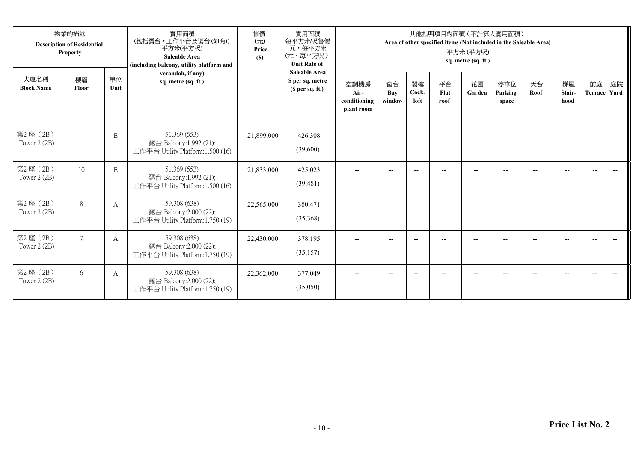|                           | 物業的描述<br><b>Description of Residential</b><br><b>Property</b> |              | 實用面積<br>(包括露台,工作平台及陽台(如有))<br>平方米(平方呎)<br><b>Saleable Area</b><br>(including balcony, utility platform and | 售價<br>(元)<br>Price<br>(S) | 實用面積<br>每平方米/呎售價<br>元,每平方米<br>(元,每平方呎)<br><b>Unit Rate of</b> |                                            |                     |                          | 其他指明項目的面積 (不計算入實用面積)<br>Area of other specified items (Not included in the Saleable Area) | 平方米(平方呎)<br>sq. metre (sq. ft.) |                         |            |                      |                          |    |
|---------------------------|---------------------------------------------------------------|--------------|------------------------------------------------------------------------------------------------------------|---------------------------|---------------------------------------------------------------|--------------------------------------------|---------------------|--------------------------|-------------------------------------------------------------------------------------------|---------------------------------|-------------------------|------------|----------------------|--------------------------|----|
| 大廈名稱<br><b>Block Name</b> | 樓層<br>Floor                                                   | 單位<br>Unit   | verandah, if any)<br>sq. metre (sq. ft.)                                                                   |                           | <b>Saleable Area</b><br>\$ per sq. metre<br>(\$ per sq. ft.)  | 空調機房<br>Air-<br>conditioning<br>plant room | 窗台<br>Bay<br>window | 閣樓<br>Cock-<br>loft      | 平台<br>Flat<br>roof                                                                        | 花園<br>Garden                    | 停車位<br>Parking<br>space | 天台<br>Roof | 梯屋<br>Stair-<br>hood | 前庭<br>Terrace Yard       | 庭院 |
| 第2座(2B)<br>Tower 2 (2B)   | 11                                                            | E            | 51.369 (553)<br>露台 Balcony:1.992 (21);<br>工作平台 Utility Platform:1.500 (16)                                 | 21,899,000                | 426,308<br>(39,600)                                           | $\overline{\phantom{a}}$                   | $\overline{a}$      | $-$                      | --                                                                                        | $\overline{a}$                  |                         |            |                      | $\overline{\phantom{a}}$ |    |
| 第2座(2B)<br>Tower 2 (2B)   | 10                                                            | E            | 51.369 (553)<br>露台 Balcony:1.992 (21);<br>工作平台 Utility Platform:1.500 (16)                                 | 21,833,000                | 425,023<br>(39, 481)                                          | $\overline{\phantom{a}}$                   | $-$                 | $-$                      | --                                                                                        | $\overline{a}$                  | $-$                     |            |                      | $\overline{\phantom{a}}$ |    |
| 第2座(2B)<br>Tower 2 (2B)   | 8                                                             | $\mathbf{A}$ | 59.308 (638)<br>露台 Balcony:2.000 (22);<br>工作平台 Utility Platform:1.750 (19)                                 | 22,565,000                | 380,471<br>(35,368)                                           | $\overline{\phantom{a}}$                   |                     | $\overline{\phantom{a}}$ |                                                                                           |                                 |                         |            |                      | $\overline{\phantom{a}}$ |    |
| 第2座 (2B)<br>Tower 2 (2B)  | $\tau$                                                        | A            | 59.308 (638)<br>露台 Balcony:2.000 (22);<br>工作平台 Utility Platform:1.750 (19)                                 | 22,430,000                | 378,195<br>(35, 157)                                          | $--$                                       | $-$                 | $-$                      |                                                                                           | $-$                             | --                      |            | $-$                  | $\overline{\phantom{a}}$ |    |
| 第2座 (2B)<br>Tower 2 (2B)  | 6                                                             | A            | 59.308 (638)<br>露台 Balcony:2.000 (22);<br>工作平台 Utility Platform:1.750 (19)                                 | 22,362,000                | 377,049<br>(35,050)                                           | $\overline{\phantom{a}}$                   |                     |                          |                                                                                           | ٠.                              |                         |            |                      | $\overline{\phantom{a}}$ |    |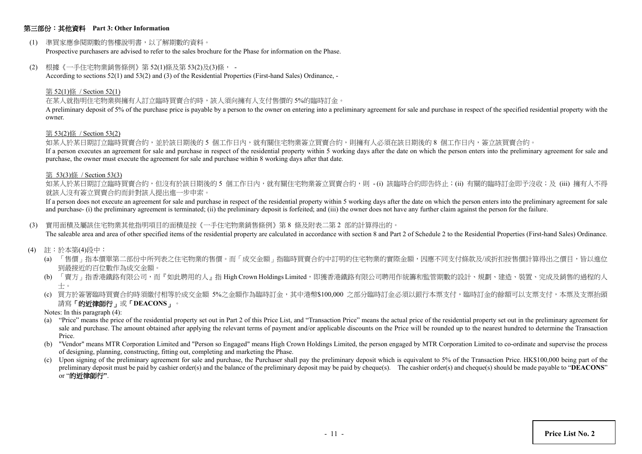## 第三部份:其他資料 **Part 3: Other Information**

(1) 準買家應參閱期數的售樓說明書,以了解期數的資料。

Prospective purchasers are advised to refer to the sales brochure for the Phase for information on the Phase.

(2) 根據《一手住宅物業銷售條例》第 52(1)條及第 53(2)及(3)條, -

According to sections 52(1) and 53(2) and (3) of the Residential Properties (First-hand Sales) Ordinance, -

#### 第 52(1)條 / Section 52(1)

#### 在某人就指明住宅物業與擁有人訂立臨時買賣合約時,該人須向擁有人支付售價的 5%的臨時訂金。

A preliminary deposit of 5% of the purchase price is payable by a person to the owner on entering into a preliminary agreement for sale and purchase in respect of the specified residential property with the owner.

#### 第 53(2)條 / Section 53(2)

如某人於某日期訂立臨時買賣合約,並於該日期後的 5 個工作日內,就有關住宅物業簽立買賣合約,則擁有人必須在該日期後的 8 個工作日內,簽立該買賣合約。

If a person executes an agreement for sale and purchase in respect of the residential property within 5 working days after the date on which the person enters into the preliminary agreement for sale and purchase, the owner must execute the agreement for sale and purchase within 8 working days after that date.

#### 第 53(3)條 / Section 53(3)

如某人於某日期訂立臨時買賣合約,但沒有於該日期後的 5 個工作日内,就有關住宅物業簽立買賣合約,則 -(i) 該臨時合約即告終止;(ii) 有關的臨時訂金即予沒收;及 (iii) 擁有人不得 就該人沒有簽立買賣合約而針對該人提出進一步申索。

If a person does not execute an agreement for sale and purchase in respect of the residential property within 5 working days after the date on which the person enters into the preliminary agreement for sale and purchase- (i) the preliminary agreement is terminated; (ii) the preliminary deposit is forfeited; and (iii) the owner does not have any further claim against the person for the failure.

#### (3) 實用面積及屬該住宅物業其他指明項目的面積是按《一手住宅物業銷售條例》第 8 條及附表二第 2 部的計算得出的。

The saleable area and area of other specified items of the residential property are calculated in accordance with section 8 and Part 2 of Schedule 2 to the Residential Properties (First-hand Sales) Ordinance.

- (4) 註:於本第(4)段中:
	- (a) 「售價」指本價單第二部份中所列表之住宅物業的售價。而「成交金額」指臨時買賣合約中訂明的住宅物業的實際金額,因應不同支付條款及/或折扣按售價計算得出之價目,皆以進位 到最接近的百位數作為成交金額。
	- (b) 「賣方」指香港鐵路有限公司,而『如此聘用的人』指 High Crown Holdings Limited,即獲香港鐵路有限公司聘用作統籌和監管期數的設計、規劃、建造、裝置、完成及銷售的過程的人 士。
	- (c) 買方於簽署臨時買賣合約時須繳付相等於成交金額 5%之金額作為臨時訂金,其中港幣\$100,000 之部分臨時訂金必須以銀行本票支付,臨時訂金的餘額可以支票支付,本票及支票抬頭 請寫「的近律師行」或「**DEACONS**」。
	- Notes: In this paragraph (4):
	- (a) "Price" means the price of the residential property set out in Part 2 of this Price List, and "Transaction Price" means the actual price of the residential property set out in the preliminary agreement for sale and purchase. The amount obtained after applying the relevant terms of payment and/or applicable discounts on the Price will be rounded up to the nearest hundred to determine the Transaction Price.
	- (b) "Vendor" means MTR Corporation Limited and "Person so Engaged" means High Crown Holdings Limited, the person engaged by MTR Corporation Limited to co-ordinate and supervise the process of designing, planning, constructing, fitting out, completing and marketing the Phase.
	- (c) Upon signing of the preliminary agreement for sale and purchase, the Purchaser shall pay the preliminary deposit which is equivalent to 5% of the Transaction Price. HK\$100,000 being part of the preliminary deposit must be paid by cashier order(s) and the balance of the preliminary deposit may be paid by cheque(s). The cashier order(s) and cheque(s) should be made payable to "**DEACONS**" or "的近律師行**"**.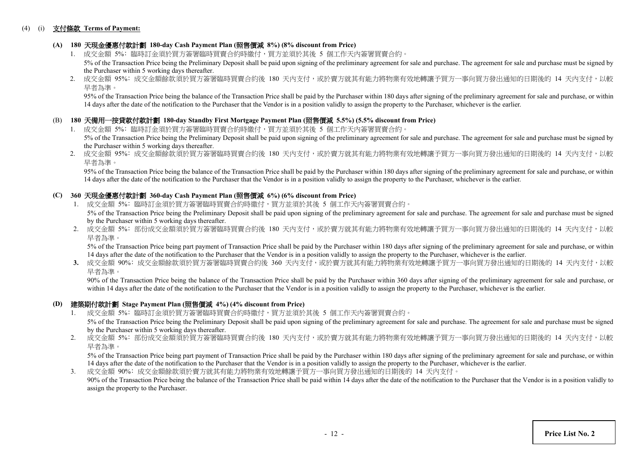## (4) (i) 支付條款 **Terms of Payment:**

## **(A) 180** 天現金優惠付款計劃 **180-day Cash Payment Plan (**照售價減 **8%) (8% discount from Price)**

- 1. 成交金額 5%: 臨時訂金須於買方簽署臨時買賣合約時繳付,買方並須於其後 5 個工作天内簽署買賣合約。 5% of the Transaction Price being the Preliminary Deposit shall be paid upon signing of the preliminary agreement for sale and purchase. The agreement for sale and purchase must be signed by the Purchaser within 5 working days thereafter.
- 2. 成交金額 95%: 成交金額餘款須於買方簽署臨時買賣合約後 180 天內支付,或於賣方就其有能力將物業有效地轉讓予買方一事向買方發出通知的日期後的 14 天内支付,以較 早者為準。

95% of the Transaction Price being the balance of the Transaction Price shall be paid by the Purchaser within 180 days after signing of the preliminary agreement for sale and purchase, or within 14 days after the date of the notification to the Purchaser that the Vendor is in a position validly to assign the property to the Purchaser, whichever is the earlier.

## (B) **180** 天備用一按貸款付款計劃 **180-day Standby First Mortgage Payment Plan (**照售價減 **5.5%) (5.5% discount from Price)**

- 1. 成交金額 5%: 臨時訂金須於買方簽署臨時買賣合約時繳付,買方並須於其後 5 個工作天內簽署買賣合約。 5% of the Transaction Price being the Preliminary Deposit shall be paid upon signing of the preliminary agreement for sale and purchase. The agreement for sale and purchase must be signed by the Purchaser within 5 working days thereafter.
- 2. 成交金額 95%: 成交金額餘款須於買方簽署臨時買賣合約後 180 天內支付,或於賣方就其有能力將物業有效地轉讓予買方一事向買方發出通知的日期後的 14 天内支付,以較 早者為準。

 95% of the Transaction Price being the balance of the Transaction Price shall be paid by the Purchaser within 180 days after signing of the preliminary agreement for sale and purchase, or within 14 days after the date of the notification to the Purchaser that the Vendor is in a position validly to assign the property to the Purchaser, whichever is the earlier.

## **(C) 360** 天現金優惠付款計劃 **360-day Cash Payment Plan (**照售價減 **6%) (6% discount from Price)**

- 1. 成交金額 5%: 臨時訂金須於買方簽署臨時買賣合約時繳付,買方並須於其後 5 個工作天內簽署買賣合約。 5% of the Transaction Price being the Preliminary Deposit shall be paid upon signing of the preliminary agreement for sale and purchase. The agreement for sale and purchase must be signed by the Purchaser within 5 working days thereafter.
- 2. 成交金額 5%: 部份成交金額須於買方簽署臨時買賣合約後 180 天內支付,或於賣方就其有能力將物業有效地轉讓予買方一事向買方發出通知的日期後的 14 天內支付,以較 早者為準。

5% of the Transaction Price being part payment of Transaction Price shall be paid by the Purchaser within 180 days after signing of the preliminary agreement for sale and purchase, or within 14 days after the date of the notification to the Purchaser that the Vendor is in a position validly to assign the property to the Purchaser, whichever is the earlier.

3. 成交金額 90%: 成交金額餘款須於買方簽署臨時買賣合約後 360 天内支付,或於賣方就其有能力將物業有效地轉讓予買方一事向買方發出通知的日期後的 14 天内支付,以較 早者為準。

90% of the Transaction Price being the balance of the Transaction Price shall be paid by the Purchaser within 360 days after signing of the preliminary agreement for sale and purchase, or within 14 days after the date of the notification to the Purchaser that the Vendor is in a position validly to assign the property to the Purchaser, whichever is the earlier.

### **(D)** 建築期付款計劃 **Stage Payment Plan (**照售價減 **4%) (4% discount from Price)**

- 1. 成交金額 5%﹕臨時訂金須於買方簽署臨時買賣合約時繳付,買方並須於其後 5 個工作天內簽署買賣合約。 5% of the Transaction Price being the Preliminary Deposit shall be paid upon signing of the preliminary agreement for sale and purchase. The agreement for sale and purchase must be signed by the Purchaser within 5 working days thereafter.
- 2. 成交金額 5%: 部份成交金額須於買方簽署臨時買賣合約後 180 天內支付,或於賣方就其有能力將物業有效地轉讓予買方一事向買方發出通知的日期後的 14 天内支付,以較 早者為準。

5% of the Transaction Price being part payment of Transaction Price shall be paid by the Purchaser within 180 days after signing of the preliminary agreement for sale and purchase, or within 14 days after the date of the notification to the Purchaser that the Vendor is in a position validly to assign the property to the Purchaser, whichever is the earlier.

3. 成交金額 90%﹕成交金額餘款須於賣方就其有能力將物業有效地轉讓予買方一事向買方發出通知的日期後的 14 天內支付。 90% of the Transaction Price being the balance of the Transaction Price shall be paid within 14 days after the date of the notification to the Purchaser that the Vendor is in a position validly to assign the property to the Purchaser.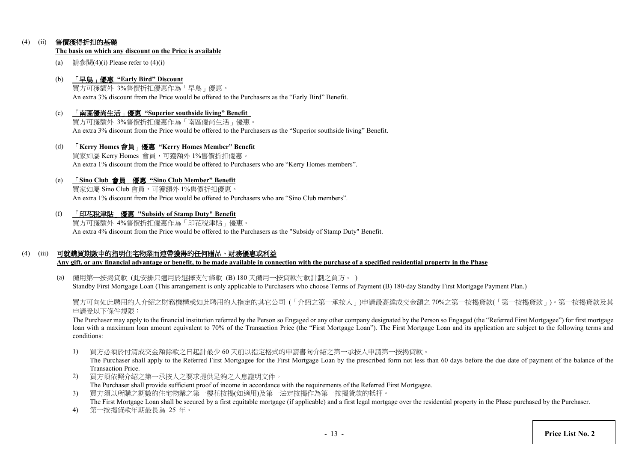## (4) (ii) 售價獲得折扣的基礎

#### **The basis on which any discount on the Price is available**

(a) 請參閱(4)(i) Please refer to  $(4)$ (i)

## (b) 「早鳥」優惠 **"Early Bird" Discount**

買方可獲額外 3%售價折扣優惠作為「早鳥」優惠。 An extra 3% discount from the Price would be offered to the Purchasers as the "Early Bird" Benefit.

(c) 「南區優尚生活」優惠 **"Superior southside living" Benefit** 買方可獲額外 3%售價折扣優惠作為「南區優尚生活」優惠。

An extra 3% discount from the Price would be offered to the Purchasers as the "Superior southside living" Benefit.

(d) 「**Kerry Homes** 會員」優惠 **"Kerry Homes Member" Benefit** 買家如屬 Kerry Homes 會員,可獲額外 1%售價折扣優惠。 An extra 1% discount from the Price would be offered to Purchasers who are "Kerry Homes members".

## (e) 「**Sino Club** 會員」優惠 **"Sino Club Member" Benefit**

買家如屬 Sino Club 會員,可獲額外 1%售價折扣優惠。 An extra 1% discount from the Price would be offered to Purchasers who are "Sino Club members".

(f) 「印花稅津貼」優惠 **"Subsidy of Stamp Duty" Benefit**

買方可獲額外 4%售價折扣優惠作為「印花稅津貼」優惠。 An extra 4% discount from the Price would be offered to the Purchasers as the "Subsidy of Stamp Duty" Benefit.

## (4) (iii) 可就購買期數中的指明住宅物業而連帶獲得的任何贈品、財務優惠或利益

**Any gift, or any financial advantage or benefit, to be made available in connection with the purchase of a specified residential property in the Phase**

(a) 備用第一按揭貸款 (此安排只適用於選擇支付條款 (B) 180 天備用一按貸款付款計劃之買方。 ) Standby First Mortgage Loan (This arrangement is only applicable to Purchasers who choose Terms of Payment (B) 180-day Standby First Mortgage Payment Plan.)

買方可向如此聘用的人介紹之財務機構或如此聘用的人指定的其它公司 (「介紹之第一承按人」)申請最高達成交金額之 70%之第一按揭貸款(「第一按揭貸款」)。第一按揭貸款及其 申請受以下條件規限:

The Purchaser may apply to the financial institution referred by the Person so Engaged or any other company designated by the Person so Engaged (the "Referred First Mortgagee") for first mortgage loan with a maximum loan amount equivalent to 70% of the Transaction Price (the "First Mortgage Loan"). The First Mortgage Loan and its application are subject to the following terms and conditions:

1) 買方必須於付清成交金額餘款之日起計最少 60 天前以指定格式的申請書向介紹之第一承按人申請第一按揭貸款。

The Purchaser shall apply to the Referred First Mortgagee for the First Mortgage Loan by the prescribed form not less than 60 days before the due date of payment of the balance of the Transaction Price.

- 2) 買方須依照介紹之第一承按人之要求提供足夠之入息證明文件。 The Purchaser shall provide sufficient proof of income in accordance with the requirements of the Referred First Mortgagee.
- 3) 買方須以所購之期數的住宅物業之第一樓花按揭(如適用)及第一法定按揭作為第一按揭貸款的抵押。 The First Mortgage Loan shall be secured by a first equitable mortgage (if applicable) and a first legal mortgage over the residential property in the Phase purchased by the Purchaser.
- 4) 第一按揭貸款年期最長為 25 年。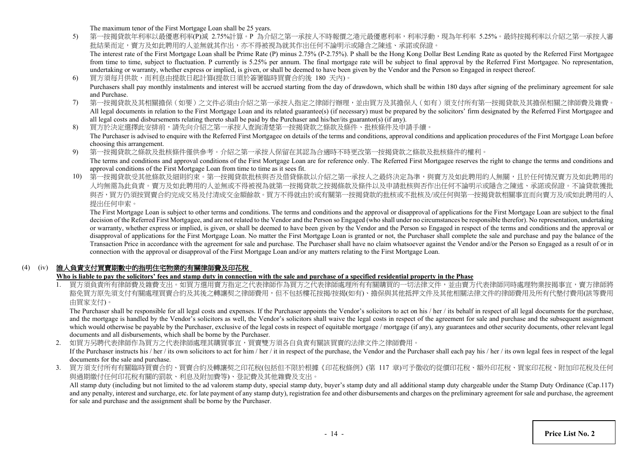The maximum tenor of the First Mortgage Loan shall be 25 years.

5) 第一按揭貸款年利率以最優惠利率(P)減 2.75%計算。P 為介紹之第一承按人不時報價之港元最優惠利率,利率浮動,現為年利率 5.25%。最終按揭利率以介紹之第一承按人審 批結果而定,賣方及如此聘用的人並無就其作出,亦不得被視為就其作出任何不論明示或隱含之陳述、承諾或保證。 The interest rate of the First Mortgage Loan shall be Prime Rate (P) minus 2.75% (P-2.75%). P shall be the Hong Kong Dollar Best Lending Rate as quoted by the Referred First Mortgagee

from time to time, subject to fluctuation. P currently is 5.25% per annum. The final mortgage rate will be subject to final approval by the Referred First Mortgagee. No representation, undertaking or warranty, whether express or implied, is given, or shall be deemed to have been given by the Vendor and the Person so Engaged in respect thereof.

- 6) 買方須每月供款,而利息由提款日起計算(提款日須於簽署臨時買賣合約後 180 天內)。 Purchasers shall pay monthly instalments and interest will be accrued starting from the day of drawdown, which shall be within 180 days after signing of the preliminary agreement for sale and Purchase.
- 7) 第一按揭貸款及其相關擔保(如要)之文件必須由介紹之第一承按人指定之律師行辦理,並由買方及其擔保人(如有)須支付所有第一按揭貸款及其擔保相關之律師費及雜費。 All legal documents in relation to the First Mortgage Loan and its related guarantee(s) (if necessary) must be prepared by the solicitors' firm designated by the Referred First Mortgagee and all legal costs and disbursements relating thereto shall be paid by the Purchaser and his/her/its guarantor(s) (if any).
- 8) 買方於決定選擇此安排前,請先向介紹之第一承按人查詢清楚第一按揭貸款之條款及條件、批核條件及申請手續。 The Purchaser is advised to enquire with the Referred First Mortgagee on details of the terms and conditions, approval conditions and application procedures of the First Mortgage Loan before choosing this arrangement.
- 9) 第一按揭貸款之條款及批核條件僅供參考。介紹之第一承按人保留在其認為合適時不時更改第一按揭貸款之條款及批核條件的權利。 The terms and conditions and approval conditions of the First Mortgage Loan are for reference only. The Referred First Mortgagee reserves the right to change the terms and conditions and approval conditions of the First Mortgage Loan from time to time as it sees fit.
- 10) 第一按揭貸款受其他條款及細則約束。第一按揭貸款批核與否及借貸條款以介紹之第一承按人之最終決定為準,與賣方及如此聘用的人無關,且於任何情況賣方及如此聘用的 人均無需為此負責。賣方及如此聘用的人並無或不得被視為就第一按揭貸款之按揭條款及條件以及申請批核與否作出任何不論明示或隱含之陳述、承諾或保證。不論貸款獲批 與否,買方仍須按買賣合約完成交易及付清成交金額餘款。買方不得就由於或有關第一按揭貸款的批核或不批核及/或任何與第一按揭貸款相關事宜而向賣方及/或如此聘用的人 提出任何申索。

The First Mortgage Loan is subject to other terms and conditions. The terms and conditions and the approval or disapproval of applications for the First Mortgage Loan are subject to the final decision of the Referred First Mortgagee, and are not related to the Vendor and the Person so Engaged (who shall under no circumstances be responsible therefor). No representation, undertaking or warranty, whether express or implied, is given, or shall be deemed to have been given by the Vendor and the Person so Engaged in respect of the terms and conditions and the approval or disapproval of applications for the First Mortgage Loan. No matter the First Mortgage Loan is granted or not, the Purchaser shall complete the sale and purchase and pay the balance of the Transaction Price in accordance with the agreement for sale and purchase. The Purchaser shall have no claim whatsoever against the Vendor and/or the Person so Engaged as a result of or in connection with the approval or disapproval of the First Mortgage Loan and/or any matters relating to the First Mortgage Loan.

## (4) (iv) 誰人負責支付買賣期數中的指明住宅物業的有關律師費及印花稅

## **Who is liable to pay the solicitors' fees and stamp duty in connection with the sale and purchase of a specified residential property in the Phase**

1. 買方須負責所有律師費及雜費支出。如買方選用賣方指定之代表律師作為買方之代表律師處理所有有關購買的一切法律文件,並由賣方代表律師同時處理物業按揭事宜,賣方律師將 豁免買方原先須支付有關處理買賣合約及其後之轉讓契之律師費用,但不包括樓花按揭/按揭(如有)、擔保與其他抵押文件及其他相關法律文件的律師費用及所有代墊付費用(該等費用 由買家支付)。

The Purchaser shall be responsible for all legal costs and expenses. If the Purchaser appoints the Vendor's solicitors to act on his / her / its behalf in respect of all legal documents for the purchase, and the mortgage is handled by the Vendor's solicitors as well, the Vendor's solicitors shall waive the legal costs in respect of the agreement for sale and purchase and the subsequent assignment which would otherwise be payable by the Purchaser, exclusive of the legal costs in respect of equitable mortgage / mortgage (if any), any guarantees and other security documents, other relevant legal documents and all disbursements, which shall be borne by the Purchaser.

2. 如買方另聘代表律師作為買方之代表律師處理其購買事宜,買賣雙方須各自負責有關該買賣的法律文件之律師費用。 If the Purchaser instructs his / her / its own solicitors to act for him / her / it in respect of the purchase, the Vendor and the Purchaser shall each pay his / her / its own legal fees in respect of the legal documents for the sale and purchase.

3. 買方須支付所有有關臨時買賣合約、買賣合約及轉讓契之印花稅(包括但不限於根據《印花稅條例》(第 117 章)可予徵收的從價印花稅、額外印花稅、買家印花稅、附加印花稅及任何 與過期繳付任何印花稅有關的罰款、利息及附加費等)、登記費及其他雜費及支出。

All stamp duty (including but not limited to the ad valorem stamp duty, special stamp duty, buyer's stamp duty and all additional stamp duty chargeable under the Stamp Duty Ordinance (Cap.117) and any penalty, interest and surcharge, etc. for late payment of any stamp duty), registration fee and other disbursements and charges on the preliminary agreement for sale and purchase, the agreement for sale and purchase and the assignment shall be borne by the Purchaser.